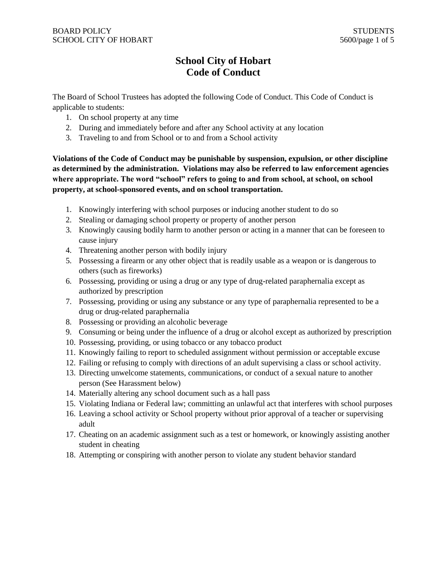# **School City of Hobart Code of Conduct**

The Board of School Trustees has adopted the following Code of Conduct. This Code of Conduct is applicable to students:

- 1. On school property at any time
- 2. During and immediately before and after any School activity at any location
- 3. Traveling to and from School or to and from a School activity

**Violations of the Code of Conduct may be punishable by suspension, expulsion, or other discipline as determined by the administration. Violations may also be referred to law enforcement agencies where appropriate. The word "school" refers to going to and from school, at school, on school property, at school-sponsored events, and on school transportation.**

- 1. Knowingly interfering with school purposes or inducing another student to do so
- 2. Stealing or damaging school property or property of another person
- 3. Knowingly causing bodily harm to another person or acting in a manner that can be foreseen to cause injury
- 4. Threatening another person with bodily injury
- 5. Possessing a firearm or any other object that is readily usable as a weapon or is dangerous to others (such as fireworks)
- 6. Possessing, providing or using a drug or any type of drug-related paraphernalia except as authorized by prescription
- 7. Possessing, providing or using any substance or any type of paraphernalia represented to be a drug or drug-related paraphernalia
- 8. Possessing or providing an alcoholic beverage
- 9. Consuming or being under the influence of a drug or alcohol except as authorized by prescription
- 10. Possessing, providing, or using tobacco or any tobacco product
- 11. Knowingly failing to report to scheduled assignment without permission or acceptable excuse
- 12. Failing or refusing to comply with directions of an adult supervising a class or school activity.
- 13. Directing unwelcome statements, communications, or conduct of a sexual nature to another person (See Harassment below)
- 14. Materially altering any school document such as a hall pass
- 15. Violating Indiana or Federal law; committing an unlawful act that interferes with school purposes
- 16. Leaving a school activity or School property without prior approval of a teacher or supervising adult
- 17. Cheating on an academic assignment such as a test or homework, or knowingly assisting another student in cheating
- 18. Attempting or conspiring with another person to violate any student behavior standard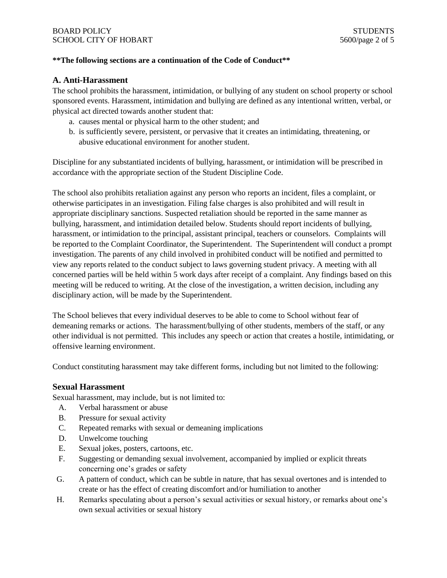#### **\*\*The following sections are a continuation of the Code of Conduct\*\***

#### **A. Anti-Harassment**

The school prohibits the harassment, intimidation, or bullying of any student on school property or school sponsored events. Harassment, intimidation and bullying are defined as any intentional written, verbal, or physical act directed towards another student that:

- a. causes mental or physical harm to the other student; and
- b. is sufficiently severe, persistent, or pervasive that it creates an intimidating, threatening, or abusive educational environment for another student.

Discipline for any substantiated incidents of bullying, harassment, or intimidation will be prescribed in accordance with the appropriate section of the Student Discipline Code.

The school also prohibits retaliation against any person who reports an incident, files a complaint, or otherwise participates in an investigation. Filing false charges is also prohibited and will result in appropriate disciplinary sanctions. Suspected retaliation should be reported in the same manner as bullying, harassment, and intimidation detailed below. Students should report incidents of bullying, harassment, or intimidation to the principal, assistant principal, teachers or counselors. Complaints will be reported to the Complaint Coordinator, the Superintendent. The Superintendent will conduct a prompt investigation. The parents of any child involved in prohibited conduct will be notified and permitted to view any reports related to the conduct subject to laws governing student privacy. A meeting with all concerned parties will be held within 5 work days after receipt of a complaint. Any findings based on this meeting will be reduced to writing. At the close of the investigation, a written decision, including any disciplinary action, will be made by the Superintendent.

The School believes that every individual deserves to be able to come to School without fear of demeaning remarks or actions. The harassment/bullying of other students, members of the staff, or any other individual is not permitted. This includes any speech or action that creates a hostile, intimidating, or offensive learning environment.

Conduct constituting harassment may take different forms, including but not limited to the following:

#### **Sexual Harassment**

Sexual harassment, may include, but is not limited to:

- A. Verbal harassment or abuse
- B. Pressure for sexual activity
- C. Repeated remarks with sexual or demeaning implications
- D. Unwelcome touching
- E. Sexual jokes, posters, cartoons, etc.
- F. Suggesting or demanding sexual involvement, accompanied by implied or explicit threats concerning one's grades or safety
- G. A pattern of conduct, which can be subtle in nature, that has sexual overtones and is intended to create or has the effect of creating discomfort and/or humiliation to another
- H. Remarks speculating about a person's sexual activities or sexual history, or remarks about one's own sexual activities or sexual history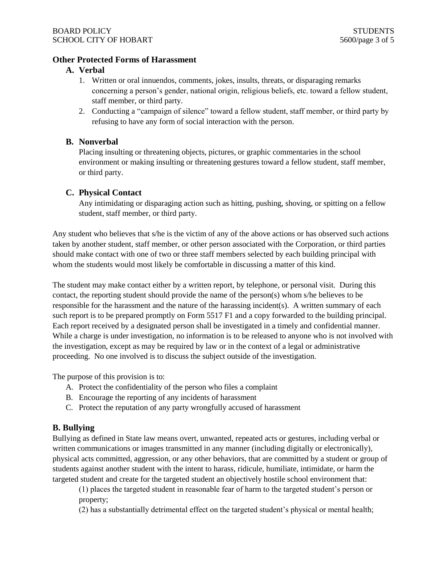## **Other Protected Forms of Harassment**

#### **A. Verbal**

- 1. Written or oral innuendos, comments, jokes, insults, threats, or disparaging remarks concerning a person's gender, national origin, religious beliefs, etc. toward a fellow student, staff member, or third party.
- 2. Conducting a "campaign of silence" toward a fellow student, staff member, or third party by refusing to have any form of social interaction with the person.

## **B. Nonverbal**

Placing insulting or threatening objects, pictures, or graphic commentaries in the school environment or making insulting or threatening gestures toward a fellow student, staff member, or third party.

#### **C. Physical Contact**

Any intimidating or disparaging action such as hitting, pushing, shoving, or spitting on a fellow student, staff member, or third party.

Any student who believes that s/he is the victim of any of the above actions or has observed such actions taken by another student, staff member, or other person associated with the Corporation, or third parties should make contact with one of two or three staff members selected by each building principal with whom the students would most likely be comfortable in discussing a matter of this kind.

The student may make contact either by a written report, by telephone, or personal visit. During this contact, the reporting student should provide the name of the person(s) whom s/he believes to be responsible for the harassment and the nature of the harassing incident(s). A written summary of each such report is to be prepared promptly on Form 5517 F1 and a copy forwarded to the building principal. Each report received by a designated person shall be investigated in a timely and confidential manner. While a charge is under investigation, no information is to be released to anyone who is not involved with the investigation, except as may be required by law or in the context of a legal or administrative proceeding. No one involved is to discuss the subject outside of the investigation.

The purpose of this provision is to:

- A. Protect the confidentiality of the person who files a complaint
- B. Encourage the reporting of any incidents of harassment
- C. Protect the reputation of any party wrongfully accused of harassment

#### **B. Bullying**

Bullying as defined in State law means overt, unwanted, repeated acts or gestures, including verbal or written communications or images transmitted in any manner (including digitally or electronically), physical acts committed, aggression, or any other behaviors, that are committed by a student or group of students against another student with the intent to harass, ridicule, humiliate, intimidate, or harm the targeted student and create for the targeted student an objectively hostile school environment that:

(1) places the targeted student in reasonable fear of harm to the targeted student's person or property;

(2) has a substantially detrimental effect on the targeted student's physical or mental health;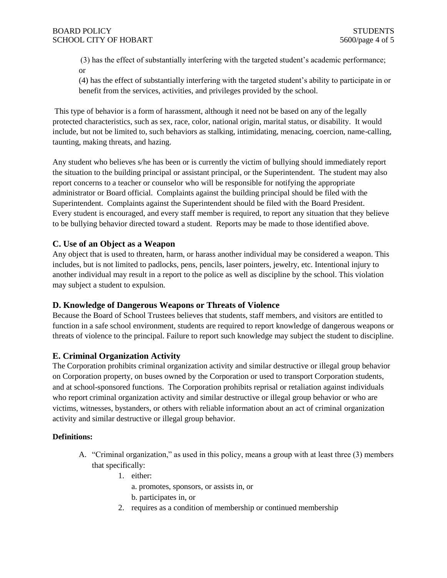(3) has the effect of substantially interfering with the targeted student's academic performance; or

(4) has the effect of substantially interfering with the targeted student's ability to participate in or benefit from the services, activities, and privileges provided by the school.

This type of behavior is a form of harassment, although it need not be based on any of the legally protected characteristics, such as sex, race, color, national origin, marital status, or disability. It would include, but not be limited to, such behaviors as stalking, intimidating, menacing, coercion, name-calling, taunting, making threats, and hazing.

Any student who believes s/he has been or is currently the victim of bullying should immediately report the situation to the building principal or assistant principal, or the Superintendent. The student may also report concerns to a teacher or counselor who will be responsible for notifying the appropriate administrator or Board official. Complaints against the building principal should be filed with the Superintendent. Complaints against the Superintendent should be filed with the Board President. Every student is encouraged, and every staff member is required, to report any situation that they believe to be bullying behavior directed toward a student. Reports may be made to those identified above.

#### **C. Use of an Object as a Weapon**

Any object that is used to threaten, harm, or harass another individual may be considered a weapon. This includes, but is not limited to padlocks, pens, pencils, laser pointers, jewelry, etc. Intentional injury to another individual may result in a report to the police as well as discipline by the school. This violation may subject a student to expulsion.

#### **D. Knowledge of Dangerous Weapons or Threats of Violence**

Because the Board of School Trustees believes that students, staff members, and visitors are entitled to function in a safe school environment, students are required to report knowledge of dangerous weapons or threats of violence to the principal. Failure to report such knowledge may subject the student to discipline.

#### **E. Criminal Organization Activity**

The Corporation prohibits criminal organization activity and similar destructive or illegal group behavior on Corporation property, on buses owned by the Corporation or used to transport Corporation students, and at school-sponsored functions. The Corporation prohibits reprisal or retaliation against individuals who report criminal organization activity and similar destructive or illegal group behavior or who are victims, witnesses, bystanders, or others with reliable information about an act of criminal organization activity and similar destructive or illegal group behavior.

#### **Definitions:**

- A. "Criminal organization," as used in this policy, means a group with at least three (3) members that specifically:
	- 1. either:

a. promotes, sponsors, or assists in, or

- b. participates in, or
- 2. requires as a condition of membership or continued membership